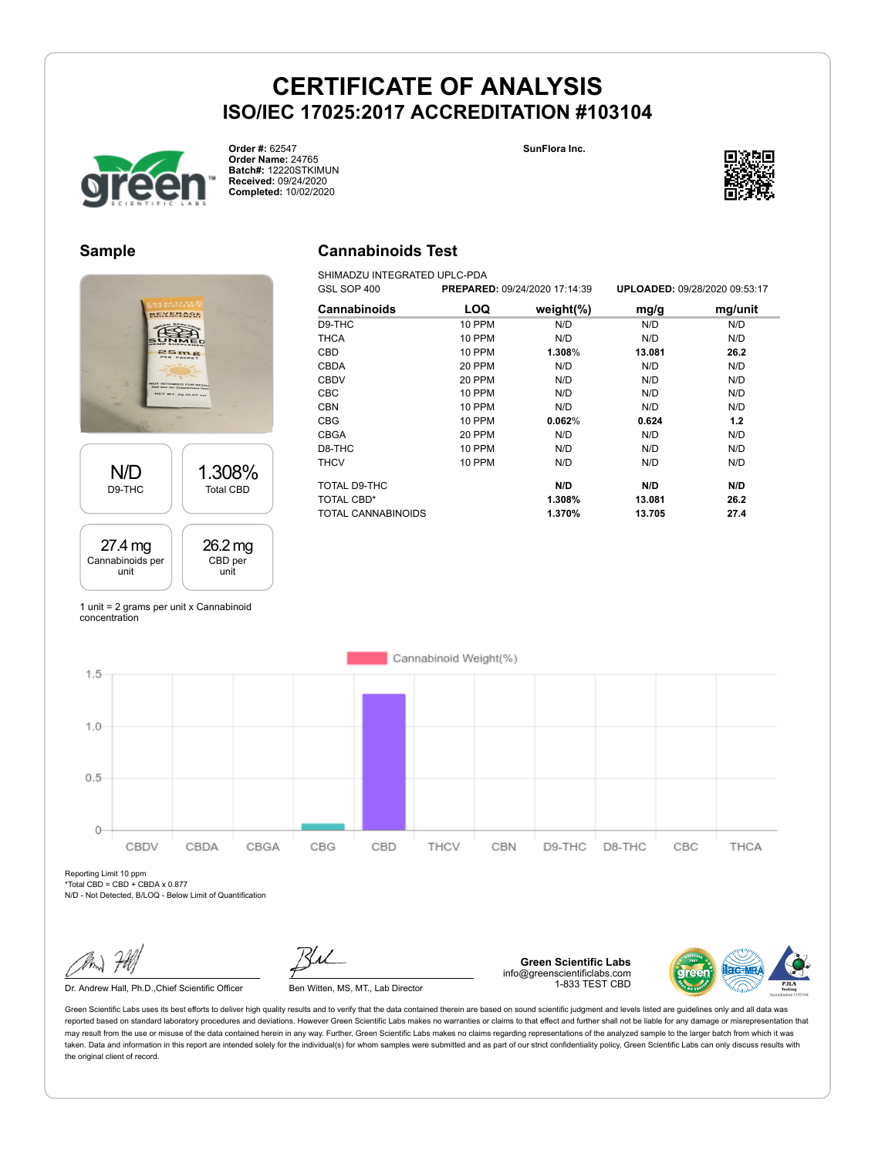**Cannabinoids Test** SHIMADZU INTEGRATED UPLC-PDA





**Order #:** 62547 **Order Name:** 24765 **Batch#:** 12220STKIMUN **Received:** 09/24/2020 **Completed:** 10/02/2020



#### **Sample**



| GSL SOP 400         |               | PREPARED: 09/24/2020 17:14:39 | UPLOADED: 09/28/2020 09:53:17 |         |  |
|---------------------|---------------|-------------------------------|-------------------------------|---------|--|
| <b>Cannabinoids</b> | LOQ           | weight $(\%)$                 | mg/g                          | mg/unit |  |
| D9-THC              | <b>10 PPM</b> | N/D                           | N/D                           | N/D     |  |
| <b>THCA</b>         | <b>10 PPM</b> | N/D                           | N/D                           | N/D     |  |
| CBD                 | 10 PPM        | 1.308%                        | 13.081                        | 26.2    |  |
| <b>CBDA</b>         | 20 PPM        | N/D                           | N/D                           | N/D     |  |
| <b>CBDV</b>         | 20 PPM        | N/D                           | N/D                           | N/D     |  |
| CBC                 | <b>10 PPM</b> | N/D                           | N/D                           | N/D     |  |
| <b>CBN</b>          | 10 PPM        | N/D                           | N/D                           | N/D     |  |
| <b>CBG</b>          | <b>10 PPM</b> | 0.062%                        | 0.624                         | 1.2     |  |
| <b>CBGA</b>         | 20 PPM        | N/D                           | N/D                           | N/D     |  |
| D8-THC              | <b>10 PPM</b> | N/D                           | N/D                           | N/D     |  |
| <b>THCV</b>         | <b>10 PPM</b> | N/D                           | N/D                           | N/D     |  |
| TOTAL D9-THC        |               | N/D                           | N/D                           | N/D     |  |
| TOTAL CBD*          |               | 1.308%                        | 13.081                        | 26.2    |  |
| TOTAL CANNABINOIDS  |               | 1.370%                        | 13.705                        | 27.4    |  |

1 unit = 2 grams per unit x Cannabinoid concentration



Reporting Limit 10 ppm \*Total CBD = CBD + CBDA x 0.877

N/D - Not Detected, B/LOQ - Below Limit of Quantification

Dr. Andrew Hall, Ph.D., Chief Scientific Officer Ben Witten, MS, MT., Lab Director



**Green Scientific Labs** info@greenscientificlabs.com 1-833 TEST CBD

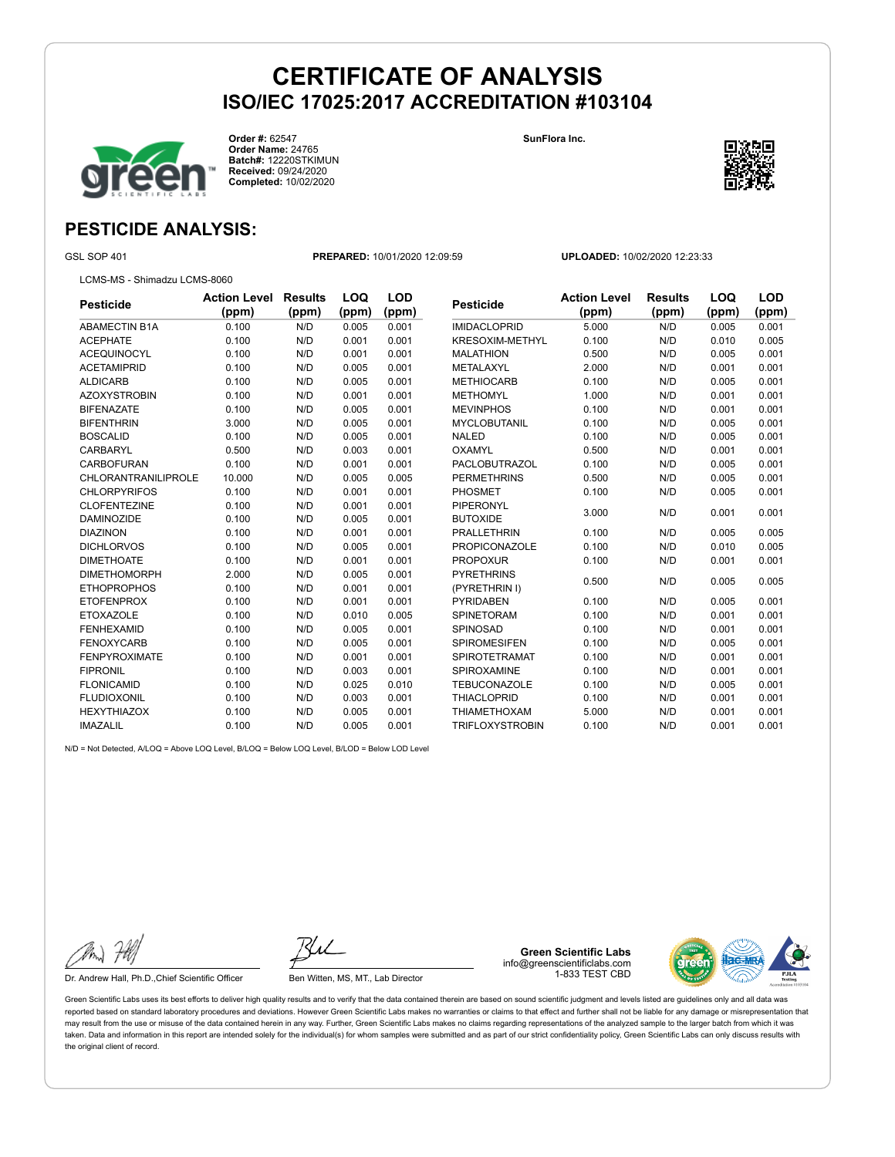**SunFlora Inc.**



**Order #:** 62547 **Order Name:** 24765 **Batch#:** 12220STKIMUN **Received:** 09/24/2020 **Completed:** 10/02/2020



## **PESTICIDE ANALYSIS:**

GSL SOP 401 **PREPARED:** 10/01/2020 12:09:59 **UPLOADED:** 10/02/2020 12:23:33

LCMS-MS - Shimadzu LCMS-8060

| Pesticide           | <b>Action Level</b> | <b>Results</b> | LOQ   | <b>LOD</b> | <b>Pesticide</b>       | <b>Action Level</b> | <b>Results</b> | LOQ   | <b>LOD</b> |
|---------------------|---------------------|----------------|-------|------------|------------------------|---------------------|----------------|-------|------------|
|                     | (ppm)               | (ppm)          | (ppm) | (ppm)      |                        | (ppm)               | (ppm)          | (ppm) | (ppm)      |
| ABAMECTIN B1A       | 0.100               | N/D            | 0.005 | 0.001      | <b>IMIDACLOPRID</b>    | 5.000               | N/D            | 0.005 | 0.001      |
| <b>ACEPHATE</b>     | 0.100               | N/D            | 0.001 | 0.001      | <b>KRESOXIM-METHYL</b> | 0.100               | N/D            | 0.010 | 0.005      |
| ACEQUINOCYL         | 0.100               | N/D            | 0.001 | 0.001      | <b>MALATHION</b>       | 0.500               | N/D            | 0.005 | 0.001      |
| ACETAMIPRID         | 0.100               | N/D            | 0.005 | 0.001      | METALAXYL              | 2.000               | N/D            | 0.001 | 0.001      |
| <b>ALDICARB</b>     | 0.100               | N/D            | 0.005 | 0.001      | <b>METHIOCARB</b>      | 0.100               | N/D            | 0.005 | 0.001      |
| AZOXYSTROBIN        | 0.100               | N/D            | 0.001 | 0.001      | <b>METHOMYL</b>        | 1.000               | N/D            | 0.001 | 0.001      |
| <b>BIFENAZATE</b>   | 0.100               | N/D            | 0.005 | 0.001      | <b>MEVINPHOS</b>       | 0.100               | N/D            | 0.001 | 0.001      |
| BIFENTHRIN          | 3.000               | N/D            | 0.005 | 0.001      | <b>MYCLOBUTANIL</b>    | 0.100               | N/D            | 0.005 | 0.001      |
| <b>BOSCALID</b>     | 0.100               | N/D            | 0.005 | 0.001      | <b>NALED</b>           | 0.100               | N/D            | 0.005 | 0.001      |
| CARBARYL            | 0.500               | N/D            | 0.003 | 0.001      | <b>OXAMYL</b>          | 0.500               | N/D            | 0.001 | 0.001      |
| CARBOFURAN          | 0.100               | N/D            | 0.001 | 0.001      | <b>PACLOBUTRAZOL</b>   | 0.100               | N/D            | 0.005 | 0.001      |
| CHLORANTRANILIPROLE | 10.000              | N/D            | 0.005 | 0.005      | <b>PERMETHRINS</b>     | 0.500               | N/D            | 0.005 | 0.001      |
| CHLORPYRIFOS        | 0.100               | N/D            | 0.001 | 0.001      | PHOSMET                | 0.100               | N/D            | 0.005 | 0.001      |
| <b>CLOFENTEZINE</b> | 0.100               | N/D            | 0.001 | 0.001      | <b>PIPERONYL</b>       |                     | N/D            |       |            |
| <b>DAMINOZIDE</b>   | 0.100               | N/D            | 0.005 | 0.001      | <b>BUTOXIDE</b>        | 3.000               |                | 0.001 | 0.001      |
| <b>DIAZINON</b>     | 0.100               | N/D            | 0.001 | 0.001      | <b>PRALLETHRIN</b>     | 0.100               | N/D            | 0.005 | 0.005      |
| <b>DICHLORVOS</b>   | 0.100               | N/D            | 0.005 | 0.001      | <b>PROPICONAZOLE</b>   | 0.100               | N/D            | 0.010 | 0.005      |
| <b>DIMETHOATE</b>   | 0.100               | N/D            | 0.001 | 0.001      | <b>PROPOXUR</b>        | 0.100               | N/D            | 0.001 | 0.001      |
| <b>DIMETHOMORPH</b> | 2.000               | N/D            | 0.005 | 0.001      | <b>PYRETHRINS</b>      | 0.500               |                |       |            |
| <b>ETHOPROPHOS</b>  | 0.100               | N/D            | 0.001 | 0.001      | (PYRETHRIN I)          |                     | N/D            | 0.005 | 0.005      |
| ETOFENPROX          | 0.100               | N/D            | 0.001 | 0.001      | <b>PYRIDABEN</b>       | 0.100               | N/D            | 0.005 | 0.001      |
| <b>ETOXAZOLE</b>    | 0.100               | N/D            | 0.010 | 0.005      | <b>SPINETORAM</b>      | 0.100               | N/D            | 0.001 | 0.001      |
| FENHEXAMID          | 0.100               | N/D            | 0.005 | 0.001      | <b>SPINOSAD</b>        | 0.100               | N/D            | 0.001 | 0.001      |
| <b>FENOXYCARB</b>   | 0.100               | N/D            | 0.005 | 0.001      | <b>SPIROMESIFEN</b>    | 0.100               | N/D            | 0.005 | 0.001      |
| FENPYROXIMATE       | 0.100               | N/D            | 0.001 | 0.001      | <b>SPIROTETRAMAT</b>   | 0.100               | N/D            | 0.001 | 0.001      |
| <b>FIPRONIL</b>     | 0.100               | N/D            | 0.003 | 0.001      | <b>SPIROXAMINE</b>     | 0.100               | N/D            | 0.001 | 0.001      |
| FLONICAMID          | 0.100               | N/D            | 0.025 | 0.010      | <b>TEBUCONAZOLE</b>    | 0.100               | N/D            | 0.005 | 0.001      |
| FLUDIOXONIL         | 0.100               | N/D            | 0.003 | 0.001      | <b>THIACLOPRID</b>     | 0.100               | N/D            | 0.001 | 0.001      |
| <b>HEXYTHIAZOX</b>  | 0.100               | N/D            | 0.005 | 0.001      | <b>THIAMETHOXAM</b>    | 5.000               | N/D            | 0.001 | 0.001      |
| IMAZALIL            | 0.100               | N/D            | 0.005 | 0.001      | <b>TRIFLOXYSTROBIN</b> | 0.100               | N/D            | 0.001 | 0.001      |

N/D = Not Detected, A/LOQ = Above LOQ Level, B/LOQ = Below LOQ Level, B/LOD = Below LOD Level

Dr. Andrew Hall, Ph.D., Chief Scientific Officer Ben Witten, MS, MT., Lab Director

**Green Scientific Labs** info@greenscientificlabs.com 1-833 TEST CBD

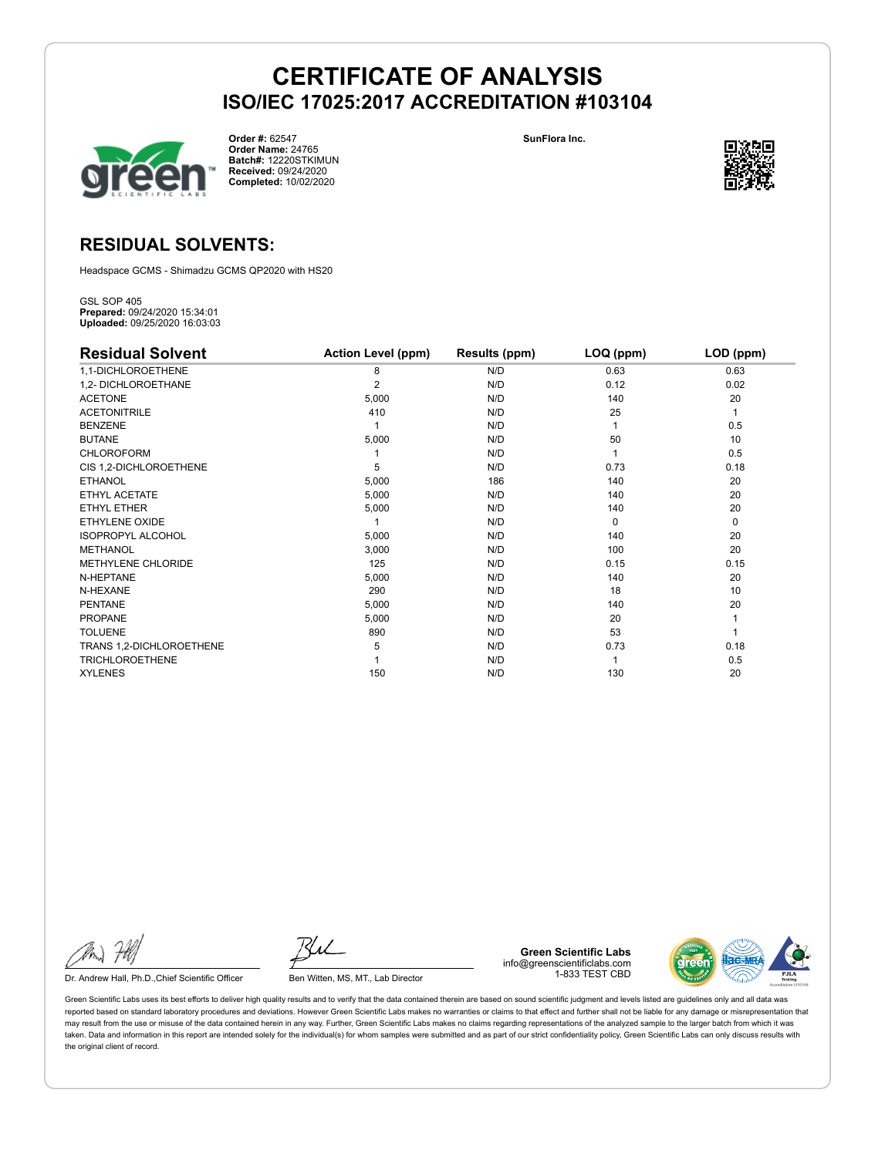

**Order #:** 62547 **Order Name:** 24765 **Batch#:** 12220STKIMUN **Received:** 09/24/2020 **Completed:** 10/02/2020

**SunFlora Inc.**



### **RESIDUAL SOLVENTS:**

Headspace GCMS - Shimadzu GCMS QP2020 with HS20

GSL SOP 405 **Prepared:** 09/24/2020 15:34:01 **Uploaded:** 09/25/2020 16:03:03

| <b>Residual Solvent</b>   | <b>Action Level (ppm)</b> | Results (ppm) | LOQ (ppm) | LOD (ppm) |
|---------------------------|---------------------------|---------------|-----------|-----------|
| 1,1-DICHLOROETHENE        | 8                         | N/D           | 0.63      | 0.63      |
| 1,2- DICHLOROETHANE       | 2                         | N/D           | 0.12      | 0.02      |
| <b>ACETONE</b>            | 5,000                     | N/D           | 140       | 20        |
| <b>ACETONITRILE</b>       | 410                       | N/D           | 25        | 1         |
| <b>BENZENE</b>            |                           | N/D           |           | 0.5       |
| <b>BUTANE</b>             | 5,000                     | N/D           | 50        | 10        |
| <b>CHLOROFORM</b>         |                           | N/D           |           | 0.5       |
| CIS 1,2-DICHLOROETHENE    | 5                         | N/D           | 0.73      | 0.18      |
| <b>ETHANOL</b>            | 5,000                     | 186           | 140       | 20        |
| ETHYL ACETATE             | 5,000                     | N/D           | 140       | 20        |
| <b>ETHYL ETHER</b>        | 5,000                     | N/D           | 140       | 20        |
| <b>ETHYLENE OXIDE</b>     |                           | N/D           | $\Omega$  | 0         |
| <b>ISOPROPYL ALCOHOL</b>  | 5,000                     | N/D           | 140       | 20        |
| <b>METHANOL</b>           | 3,000                     | N/D           | 100       | 20        |
| <b>METHYLENE CHLORIDE</b> | 125                       | N/D           | 0.15      | 0.15      |
| N-HEPTANE                 | 5,000                     | N/D           | 140       | 20        |
| N-HEXANE                  | 290                       | N/D           | 18        | 10        |
| <b>PENTANE</b>            | 5,000                     | N/D           | 140       | 20        |
| <b>PROPANE</b>            | 5,000                     | N/D           | 20        |           |
| <b>TOLUENE</b>            | 890                       | N/D           | 53        |           |
| TRANS 1,2-DICHLOROETHENE  | 5                         | N/D           | 0.73      | 0.18      |
| <b>TRICHLOROETHENE</b>    |                           | N/D           |           | 0.5       |
| <b>XYLENES</b>            | 150                       | N/D           | 130       | 20        |

Dr. Andrew Hall, Ph.D., Chief Scientific Officer Ben Witten, MS, MT., Lab Director

**Green Scientific Labs** info@greenscientificlabs.com 1-833 TEST CBD

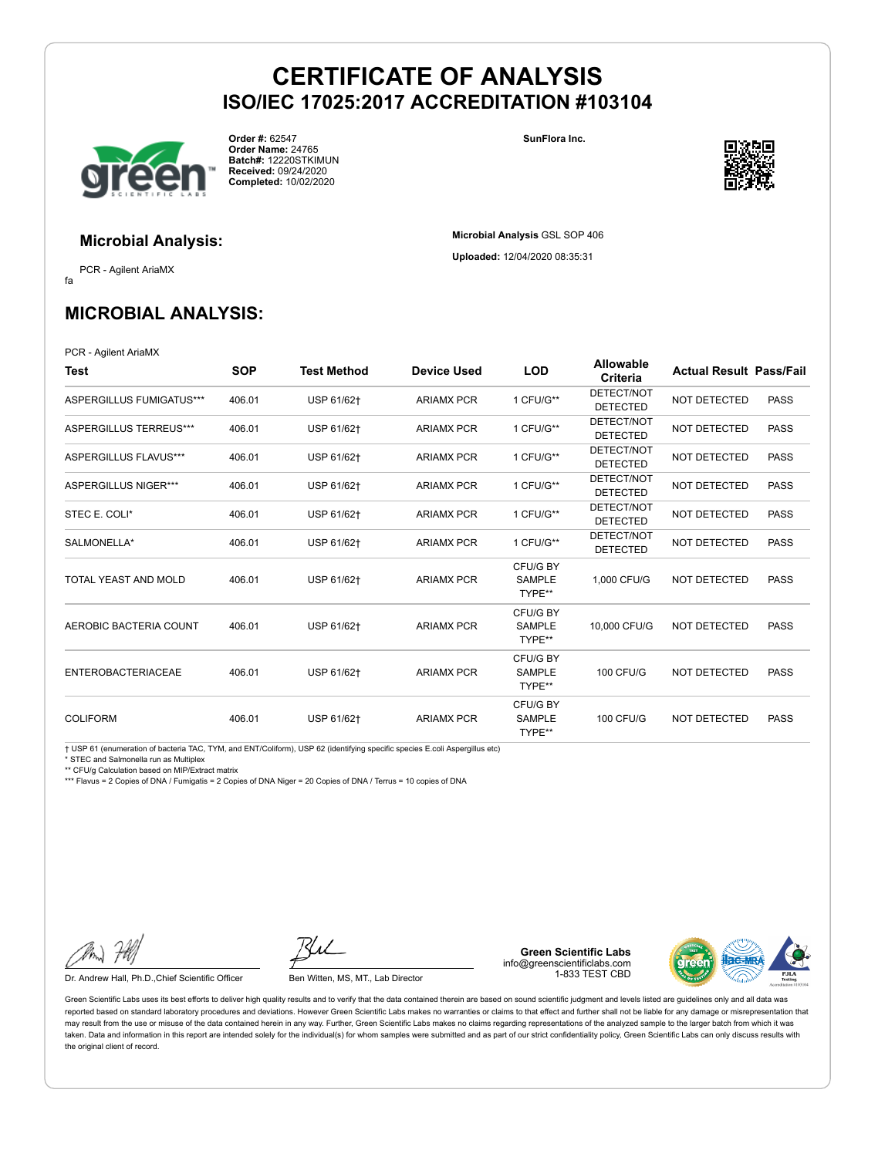

**Order #:** 62547 **Order Name:** 24765 **Batch#:** 12220STKIMUN **Received:** 09/24/2020 **Completed:** 10/02/2020

**SunFlora Inc.**

**Microbial Analysis** GSL SOP 406 **Uploaded:** 12/04/2020 08:35:31



**Microbial Analysis:**

fa PCR - Agilent AriaMX

## **MICROBIAL ANALYSIS:**

PCR - Agilent AriaMX

| Test                      | <b>SOP</b> | <b>Test Method</b> | <b>Device Used</b> | <b>LOD</b>                          | <b>Allowable</b><br>Criteria  | <b>Actual Result Pass/Fail</b> |             |
|---------------------------|------------|--------------------|--------------------|-------------------------------------|-------------------------------|--------------------------------|-------------|
| ASPERGILLUS FUMIGATUS***  | 406.01     | USP 61/62+         | <b>ARIAMX PCR</b>  | 1 CFU/G**                           | DETECT/NOT<br><b>DETECTED</b> | <b>NOT DETECTED</b>            | <b>PASS</b> |
| ASPERGILLUS TERREUS***    | 406.01     | USP 61/62+         | <b>ARIAMX PCR</b>  | 1 CFU/G**                           | DETECT/NOT<br><b>DETECTED</b> | <b>NOT DETECTED</b>            | <b>PASS</b> |
| ASPERGILLUS FLAVUS***     | 406.01     | USP 61/62+         | <b>ARIAMX PCR</b>  | 1 CFU/G**                           | DETECT/NOT<br><b>DETECTED</b> | <b>NOT DETECTED</b>            | <b>PASS</b> |
| ASPERGILLUS NIGER***      | 406.01     | USP 61/62+         | <b>ARIAMX PCR</b>  | 1 CFU/G**                           | DETECT/NOT<br><b>DETECTED</b> | NOT DETECTED                   | <b>PASS</b> |
| STEC E. COLI*             | 406.01     | USP 61/62+         | <b>ARIAMX PCR</b>  | 1 CFU/G**                           | DETECT/NOT<br><b>DETECTED</b> | NOT DETECTED                   | <b>PASS</b> |
| SALMONELLA*               | 406.01     | USP 61/62+         | <b>ARIAMX PCR</b>  | 1 CFU/G**                           | DETECT/NOT<br><b>DETECTED</b> | <b>NOT DETECTED</b>            | <b>PASS</b> |
| TOTAL YEAST AND MOLD      | 406.01     | USP 61/62+         | <b>ARIAMX PCR</b>  | CFU/G BY<br><b>SAMPLE</b><br>TYPE** | 1.000 CFU/G                   | <b>NOT DETECTED</b>            | <b>PASS</b> |
| AEROBIC BACTERIA COUNT    | 406.01     | USP 61/62+         | <b>ARIAMX PCR</b>  | CFU/G BY<br><b>SAMPLE</b><br>TYPE** | 10,000 CFU/G                  | <b>NOT DETECTED</b>            | <b>PASS</b> |
| <b>ENTEROBACTERIACEAE</b> | 406.01     | USP 61/62+         | <b>ARIAMX PCR</b>  | CFU/G BY<br>SAMPLE<br>TYPE**        | <b>100 CFU/G</b>              | NOT DETECTED                   | <b>PASS</b> |
| <b>COLIFORM</b>           | 406.01     | USP 61/62+         | <b>ARIAMX PCR</b>  | CFU/G BY<br><b>SAMPLE</b><br>TYPE** | <b>100 CFU/G</b>              | NOT DETECTED                   | <b>PASS</b> |

† USP 61 (enumeration of bacteria TAC, TYM, and ENT/Coliform), USP 62 (identifying specific species E.coli Aspergillus etc)

\* STEC and Salmonella run as Multiplex

\*\* CFU/g Calculation based on MIP/Extract matrix

\*\*\* Flavus = 2 Copies of DNA / Fumigatis = 2 Copies of DNA Niger = 20 Copies of DNA / Terrus = 10 copies of DNA

Dr. Andrew Hall, Ph.D., Chief Scientific Officer Ben Witten, MS, MT., Lab Director

**Green Scientific Labs** info@greenscientificlabs.com 1-833 TEST CBD